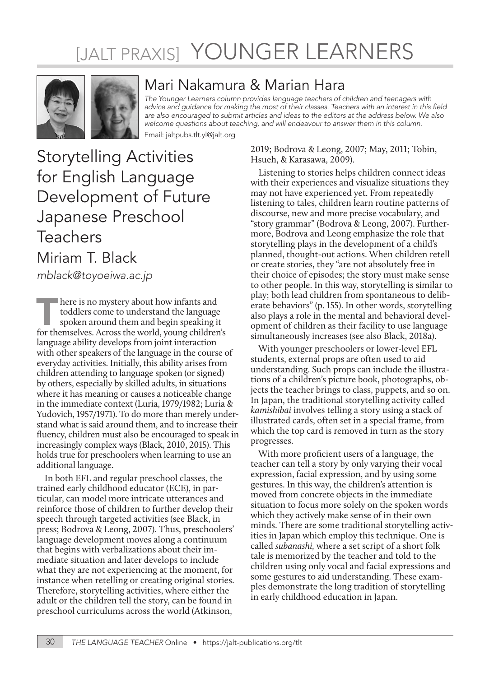# [JALT PRAXIS] YOUNGER LEARNERS



# Mari Nakamura & Marian Hara

*The Younger Learners column provides language teachers of children and teenagers with*  advice and guidance for making the most of their classes. Teachers with an interest in this field *are also encouraged to submit articles and ideas to the editors at the address below. We also welcome questions about teaching, and will endeavour to answer them in this column.*

Email: jaltpubs.tlt.yl@jalt.org

# Storytelling Activities for English Language Development of Future Japanese Preschool Teachers

# Miriam T. Black

*mblack@toyoeiwa.ac.jp* 

here is no mystery about how infants and<br>toddlers come to understand the language<br>spoken around them and begin speaking if<br>for themselves. Across the world, young childrer toddlers come to understand the language spoken around them and begin speaking it for themselves. Across the world, young children's language ability develops from joint interaction with other speakers of the language in the course of everyday activities. Initially, this ability arises from children attending to language spoken (or signed) by others, especially by skilled adults, in situations where it has meaning or causes a noticeable change in the immediate context (Luria, 1979/1982; Luria & Yudovich, 1957/1971). To do more than merely understand what is said around them, and to increase their fluency, children must also be encouraged to speak in increasingly complex ways (Black, 2010, 2015). This holds true for preschoolers when learning to use an additional language.

In both EFL and regular preschool classes, the trained early childhood educator (ECE), in particular, can model more intricate utterances and reinforce those of children to further develop their speech through targeted activities (see Black, in press; Bodrova & Leong, 2007). Thus, preschoolers' language development moves along a continuum that begins with verbalizations about their immediate situation and later develops to include what they are not experiencing at the moment, for instance when retelling or creating original stories. Therefore, storytelling activities, where either the adult or the children tell the story, can be found in preschool curriculums across the world (Atkinson,

2019; Bodrova & Leong, 2007; May, 2011; Tobin, Hsueh, & Karasawa, 2009).

Listening to stories helps children connect ideas with their experiences and visualize situations they may not have experienced yet. From repeatedly listening to tales, children learn routine patterns of discourse, new and more precise vocabulary, and "story grammar" (Bodrova & Leong, 2007). Furthermore, Bodrova and Leong emphasize the role that storytelling plays in the development of a child's planned, thought-out actions. When children retell or create stories, they "are not absolutely free in their choice of episodes; the story must make sense to other people. In this way, storytelling is similar to play; both lead children from spontaneous to deliberate behaviors" (p. 155). In other words, storytelling also plays a role in the mental and behavioral development of children as their facility to use language simultaneously increases (see also Black, 2018a).

With younger preschoolers or lower-level EFL students, external props are often used to aid understanding. Such props can include the illustrations of a children's picture book, photographs, objects the teacher brings to class, puppets, and so on. In Japan, the traditional storytelling activity called *kamishibai* involves telling a story using a stack of illustrated cards, often set in a special frame, from which the top card is removed in turn as the story progresses.

With more proficient users of a language, the teacher can tell a story by only varying their vocal expression, facial expression, and by using some gestures. In this way, the children's attention is moved from concrete objects in the immediate situation to focus more solely on the spoken words which they actively make sense of in their own minds. There are some traditional storytelling activities in Japan which employ this technique. One is called *subanashi,* where a set script of a short folk tale is memorized by the teacher and told to the children using only vocal and facial expressions and some gestures to aid understanding. These examples demonstrate the long tradition of storytelling in early childhood education in Japan.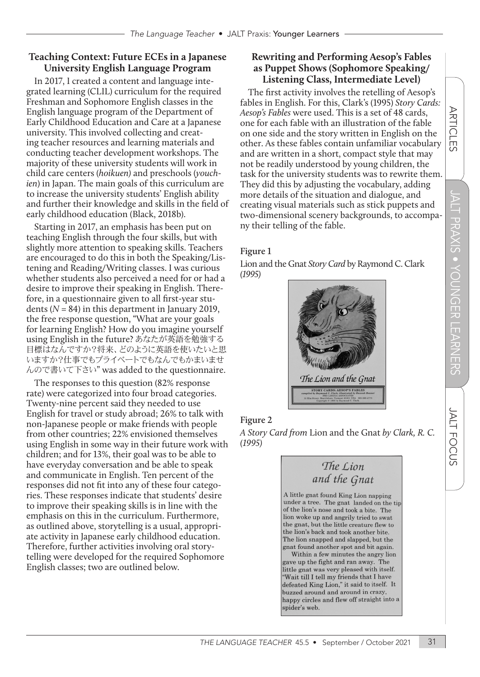# **Teaching Context: Future ECEs in a Japanese University English Language Program**

In 2017, I created a content and language integrated learning (CLIL) curriculum for the required Freshman and Sophomore English classes in the English language program of the Department of Early Childhood Education and Care at a Japanese university. This involved collecting and creating teacher resources and learning materials and conducting teacher development workshops. The majority of these university students will work in child care centers (*hoikuen)* and preschools (*youchien*) in Japan. The main goals of this curriculum are to increase the university students' English ability and further their knowledge and skills in the field of early childhood education (Black, 2018b).

Starting in 2017, an emphasis has been put on teaching English through the four skills, but with slightly more attention to speaking skills. Teachers are encouraged to do this in both the Speaking/Listening and Reading/Writing classes. I was curious whether students also perceived a need for or had a desire to improve their speaking in English. Therefore, in a questionnaire given to all first-year students  $(N = 84)$  in this department in January 2019, the free response question, "What are your goals for learning English? How do you imagine yourself using English in the future? あなたが英語を勉強する 目標はなんですか?将来、どのように英語を使いたいと思 いますか?仕事でもプライベートでもなんでもかまいませ んので書いて下さい" was added to the questionnaire.

The responses to this question (82% response rate) were categorized into four broad categories. Twenty-nine percent said they needed to use English for travel or study abroad; 26% to talk with non-Japanese people or make friends with people from other countries; 22% envisioned themselves using English in some way in their future work with children; and for 13%, their goal was to be able to have everyday conversation and be able to speak and communicate in English. Ten percent of the responses did not fit into any of these four categories. These responses indicate that students' desire to improve their speaking skills is in line with the emphasis on this in the curriculum. Furthermore, as outlined above, storytelling is a usual, appropriate activity in Japanese early childhood education. Therefore, further activities involving oral storytelling were developed for the required Sophomore English classes; two are outlined below.

# **Rewriting and Performing Aesop's Fables as Puppet Shows (Sophomore Speaking/ Listening Class, Intermediate Level)**

The first activity involves the retelling of Aesop's fables in English. For this, Clark's (1995) *Story Cards: Aesop's Fables* were used. This is a set of 48 cards, one for each fable with an illustration of the fable on one side and the story written in English on the other. As these fables contain unfamiliar vocabulary and are written in a short, compact style that may not be readily understood by young children, the task for the university students was to rewrite them. They did this by adjusting the vocabulary, adding more details of the situation and dialogue, and creating visual materials such as stick puppets and two-dimensional scenery backgrounds, to accompany their telling of the fable.

## **Figure 1**

Lion and the Gnat *Story Card* by Raymond C. Clark *(1995)*



#### **Figure 2**

*A Story Card from* Lion and the Gnat *by Clark, R. C. (1995)* 



gave up the fight and ran away. The little gnat was very pleased with itself. "Wait till I tell my friends that I have defeated King Lion," it said to itself. It buzzed around and around in crazy, happy circles and flew off straight into a spider's web.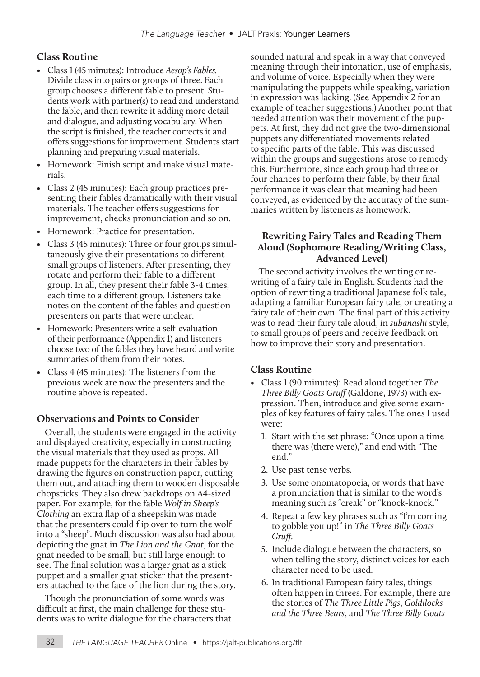# **Class Routine**

- Class 1 (45 minutes): Introduce *Aesop's Fables.*  Divide class into pairs or groups of three. Each group chooses a different fable to present. Students work with partner(s) to read and understand the fable, and then rewrite it adding more detail and dialogue, and adjusting vocabulary. When the script is finished, the teacher corrects it and offers suggestions for improvement. Students start planning and preparing visual materials.
- Homework: Finish script and make visual materials.
- Class 2 (45 minutes): Each group practices presenting their fables dramatically with their visual materials. The teacher offers suggestions for improvement, checks pronunciation and so on.
- Homework: Practice for presentation.
- Class 3 (45 minutes): Three or four groups simultaneously give their presentations to different small groups of listeners. After presenting, they rotate and perform their fable to a different group. In all, they present their fable 3-4 times, each time to a different group. Listeners take notes on the content of the fables and question presenters on parts that were unclear.
- Homework: Presenters write a self-evaluation of their performance (Appendix 1) and listeners choose two of the fables they have heard and write summaries of them from their notes.
- Class 4 (45 minutes): The listeners from the previous week are now the presenters and the routine above is repeated.

# **Observations and Points to Consider**

Overall, the students were engaged in the activity and displayed creativity, especially in constructing the visual materials that they used as props. All made puppets for the characters in their fables by drawing the figures on construction paper, cutting them out, and attaching them to wooden disposable chopsticks. They also drew backdrops on A4-sized paper. For example, for the fable *Wolf in Sheep's Clothing* an extra flap of a sheepskin was made that the presenters could flip over to turn the wolf into a "sheep". Much discussion was also had about depicting the gnat in *The Lion and the Gnat*, for the gnat needed to be small, but still large enough to see. The final solution was a larger gnat as a stick puppet and a smaller gnat sticker that the presenters attached to the face of the lion during the story.

Though the pronunciation of some words was difficult at first, the main challenge for these students was to write dialogue for the characters that sounded natural and speak in a way that conveyed meaning through their intonation, use of emphasis, and volume of voice. Especially when they were manipulating the puppets while speaking, variation in expression was lacking. (See Appendix 2 for an example of teacher suggestions.) Another point that needed attention was their movement of the puppets. At first, they did not give the two-dimensional puppets any differentiated movements related to specific parts of the fable. This was discussed within the groups and suggestions arose to remedy this. Furthermore, since each group had three or four chances to perform their fable, by their final performance it was clear that meaning had been conveyed, as evidenced by the accuracy of the summaries written by listeners as homework.

## **Rewriting Fairy Tales and Reading Them Aloud (Sophomore Reading/Writing Class, Advanced Level)**

The second activity involves the writing or rewriting of a fairy tale in English. Students had the option of rewriting a traditional Japanese folk tale, adapting a familiar European fairy tale, or creating a fairy tale of their own. The final part of this activity was to read their fairy tale aloud, in *subanashi* style, to small groups of peers and receive feedback on how to improve their story and presentation.

# **Class Routine**

- Class 1 (90 minutes): Read aloud together *The Three Billy Goats Gruff* (Galdone, 1973) with expression. Then, introduce and give some examples of key features of fairy tales. The ones I used were:
	- 1. Start with the set phrase: "Once upon a time there was (there were)," and end with "The end."
	- 2. Use past tense verbs.
	- 3. Use some onomatopoeia, or words that have a pronunciation that is similar to the word's meaning such as "creak" or "knock-knock."
	- 4. Repeat a few key phrases such as "I'm coming to gobble you up!" in *The Three Billy Goats Gruff.*
	- 5. Include dialogue between the characters, so when telling the story, distinct voices for each character need to be used.
	- 6. In traditional European fairy tales, things often happen in threes. For example, there are the stories of *The Three Little Pigs*, *Goldilocks and the Three Bears*, and *The Three Billy Goats*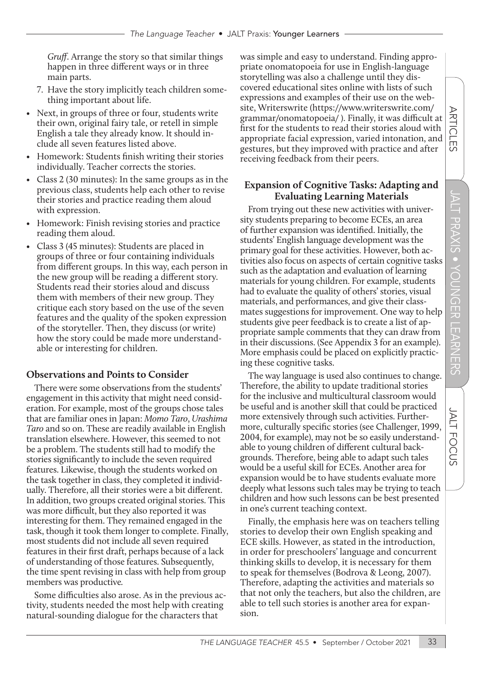*Gruff*. Arrange the story so that similar things happen in three different ways or in three main parts.

- 7. Have the story implicitly teach children something important about life.
- Next, in groups of three or four, students write their own, original fairy tale, or retell in simple English a tale they already know. It should include all seven features listed above.
- Homework: Students finish writing their stories individually. Teacher corrects the stories.
- Class 2 (30 minutes): In the same groups as in the previous class, students help each other to revise their stories and practice reading them aloud with expression.
- Homework: Finish revising stories and practice reading them aloud.
- Class 3 (45 minutes): Students are placed in groups of three or four containing individuals from different groups. In this way, each person in the new group will be reading a different story. Students read their stories aloud and discuss them with members of their new group. They critique each story based on the use of the seven features and the quality of the spoken expression of the storyteller. Then, they discuss (or write) how the story could be made more understandable or interesting for children.

# **Observations and Points to Consider**

There were some observations from the students' engagement in this activity that might need consideration. For example, most of the groups chose tales that are familiar ones in Japan: *Momo Taro*, *Urashima Taro* and so on. These are readily available in English translation elsewhere. However, this seemed to not be a problem. The students still had to modify the stories significantly to include the seven required features. Likewise, though the students worked on the task together in class, they completed it individually. Therefore, all their stories were a bit different. In addition, two groups created original stories. This was more difficult, but they also reported it was interesting for them. They remained engaged in the task, though it took them longer to complete. Finally, most students did not include all seven required features in their first draft, perhaps because of a lack of understanding of those features. Subsequently, the time spent revising in class with help from group members was productive*.*

Some difficulties also arose. As in the previous activity, students needed the most help with creating natural-sounding dialogue for the characters that

was simple and easy to understand. Finding appropriate onomatopoeia for use in English-language storytelling was also a challenge until they discovered educational sites online with lists of such expressions and examples of their use on the website, Writerswrite (https://www.writerswrite.com/ grammar/onomatopoeia/ ). Finally, it was difficult at first for the students to read their stories aloud with appropriate facial expression, varied intonation, and gestures, but they improved with practice and after receiving feedback from their peers.

# **Expansion of Cognitive Tasks: Adapting and Evaluating Learning Materials**

From trying out these new activities with university students preparing to become ECEs, an area of further expansion was identified. Initially, the students' English language development was the primary goal for these activities. However, both activities also focus on aspects of certain cognitive tasks such as the adaptation and evaluation of learning materials for young children. For example, students had to evaluate the quality of others' stories, visual materials, and performances, and give their classmates suggestions for improvement. One way to help students give peer feedback is to create a list of appropriate sample comments that they can draw from in their discussions. (See Appendix 3 for an example). More emphasis could be placed on explicitly practicing these cognitive tasks.

The way language is used also continues to change. Therefore, the ability to update traditional stories for the inclusive and multicultural classroom would be useful and is another skill that could be practiced more extensively through such activities. Furthermore, culturally specific stories (see Challenger, 1999, 2004, for example), may not be so easily understandable to young children of different cultural backgrounds. Therefore, being able to adapt such tales would be a useful skill for ECEs. Another area for expansion would be to have students evaluate more deeply what lessons such tales may be trying to teach children and how such lessons can be best presented in one's current teaching context.

Finally, the emphasis here was on teachers telling stories to develop their own English speaking and ECE skills. However, as stated in the introduction, in order for preschoolers' language and concurrent thinking skills to develop, it is necessary for them to speak for themselves (Bodrova & Leong, 2007). Therefore, adapting the activities and materials so that not only the teachers, but also the children, are able to tell such stories is another area for expansion.

ARTICLES

**ARTICLES**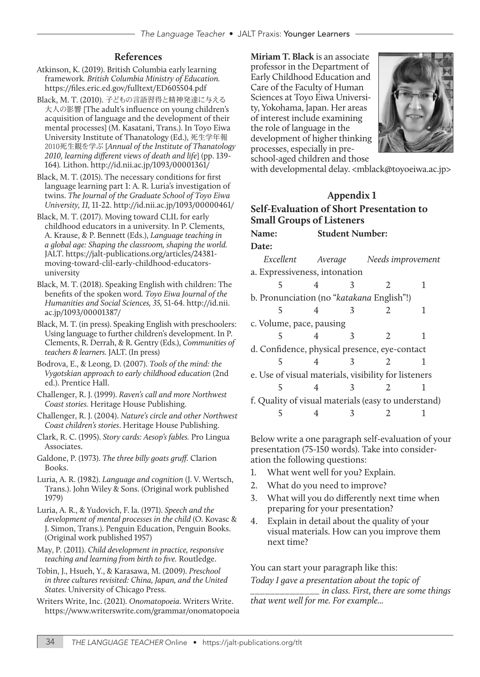#### **References**

- Atkinson, K. (2019). British Columbia early learning framework*. British Columbia Ministry of Education.*  https://files.eric.ed.gov/fulltext/ED605504.pdf
- Black, M. T. (2010). 子どもの言語習得と精神発達に与える 大人の影響 [The adult's influence on young children's acquisition of language and the development of their mental processes] (M. Kasatani, Trans.). In Toyo Eiwa University Institute of Thanatology (Ed.), 死生学年報 2010死生観を学ぶ [*Annual of the Institute of Thanatology 2010, learning different views of death and life*] (pp. 139- 164)*.* Lithon. http://id.nii.ac.jp/1093/00001361/
- Black, M. T. (2015). The necessary conditions for first language learning part 1: A. R. Luria's investigation of twins. *The Journal of the Graduate School of Toyo Eiwa University, 11,* 11-22. http://id.nii.ac.jp/1093/00000461/
- Black, M. T. (2017). Moving toward CLIL for early childhood educators in a university. In P. Clements, A. Krause, & P. Bennett (Eds.), *Language teaching in a global age: Shaping the classroom, shaping the world.*  JALT. https://jalt-publications.org/articles/24381 moving-toward-clil-early-childhood-educatorsuniversity
- Black, M. T. (2018). Speaking English with children: The benefits of the spoken word*. Toyo Eiwa Journal of the Humanities and Social Sciences, 35,* 51-64. http://id.nii. ac.jp/1093/00001387/
- Black, M. T. (in press). Speaking English with preschoolers: Using language to further children's development. In P. Clements, R. Derrah, & R. Gentry (Eds.), *Communities of teachers & learners.* JALT. (In press)
- Bodrova, E., & Leong, D. (2007). *Tools of the mind: the Vygotskian approach to early childhood education* (2nd ed.). Prentice Hall.
- Challenger, R. J. (1999). *Raven's call and more Northwest Coast stories.* Heritage House Publishing.
- Challenger, R. J. (2004). *Nature's circle and other Northwest Coast children's stories*. Heritage House Publishing.
- Clark, R. C. (1995). *Story cards: Aesop's fables.* Pro Lingua Associates.
- Galdone, P. (1973). *The three billy goats gruff.* Clarion Books.
- Luria, A. R. (1982). *Language and cognition* (J. V. Wertsch, Trans.). John Wiley & Sons. (Original work published 1979)
- Luria, A. R., & Yudovich, F. la. (1971). *Speech and the development of mental processes in the child* (O. Kovasc & J. Simon, Trans.). Penguin Education, Penguin Books. (Original work published 1957)
- May, P. (2011). *Child development in practice, responsive teaching and learning from birth to five.* Routledge.
- Tobin, J., Hsueh, Y., & Karasawa, M. (2009). *Preschool in three cultures revisited: China, Japan, and the United States.* University of Chicago Press.
- Writers Write, Inc. (2021). *Onomatopoeia*. Writers Write. https://www.writerswrite.com/grammar/onomatopoeia

**Miriam T. Black** is an associate professor in the Department of Early Childhood Education and Care of the Faculty of Human Sciences at Toyo Eiwa University, Yokohama, Japan. Her areas of interest include examining the role of language in the development of higher thinking processes, especially in preschool-aged children and those



with developmental delay. <mblack@toyoeiwa.ac.jp>

#### **Appendix 1**

#### **Self-Evaluation of Short Presentation to Small Groups of Listeners Name: Student Number:**

# **Date:**

|                                                      |  |                |    | Excellent Average Needs improvement |   |  |  |
|------------------------------------------------------|--|----------------|----|-------------------------------------|---|--|--|
| a. Expressiveness, intonation                        |  |                |    |                                     |   |  |  |
|                                                      |  | $\overline{4}$ |    |                                     |   |  |  |
| b. Pronunciation (no "katakana English"!)            |  |                |    |                                     |   |  |  |
| 5                                                    |  | $\overline{4}$ |    |                                     |   |  |  |
| c. Volume, pace, pausing                             |  |                |    |                                     |   |  |  |
| 5                                                    |  | $\overline{4}$ | 3  |                                     | 2 |  |  |
| d. Confidence, physical presence, eye-contact        |  |                |    |                                     |   |  |  |
| 5                                                    |  | $\overline{4}$ |    |                                     |   |  |  |
| e. Use of visual materials, visibility for listeners |  |                |    |                                     |   |  |  |
| 5                                                    |  | $\overline{4}$ | -3 |                                     |   |  |  |
| f. Quality of visual materials (easy to understand)  |  |                |    |                                     |   |  |  |
|                                                      |  |                |    |                                     |   |  |  |
|                                                      |  |                |    |                                     |   |  |  |

Below write a one paragraph self-evaluation of your presentation (75-150 words). Take into consideration the following questions:

- 1. What went well for you? Explain.
- 2. What do you need to improve?
- 3. What will you do differently next time when preparing for your presentation?
- 4. Explain in detail about the quality of your visual materials. How can you improve them next time?

You can start your paragraph like this:

*Today I gave a presentation about the topic of \_\_\_\_\_\_\_\_\_\_\_\_\_\_ in class. First, there are some things that went well for me. For example...*